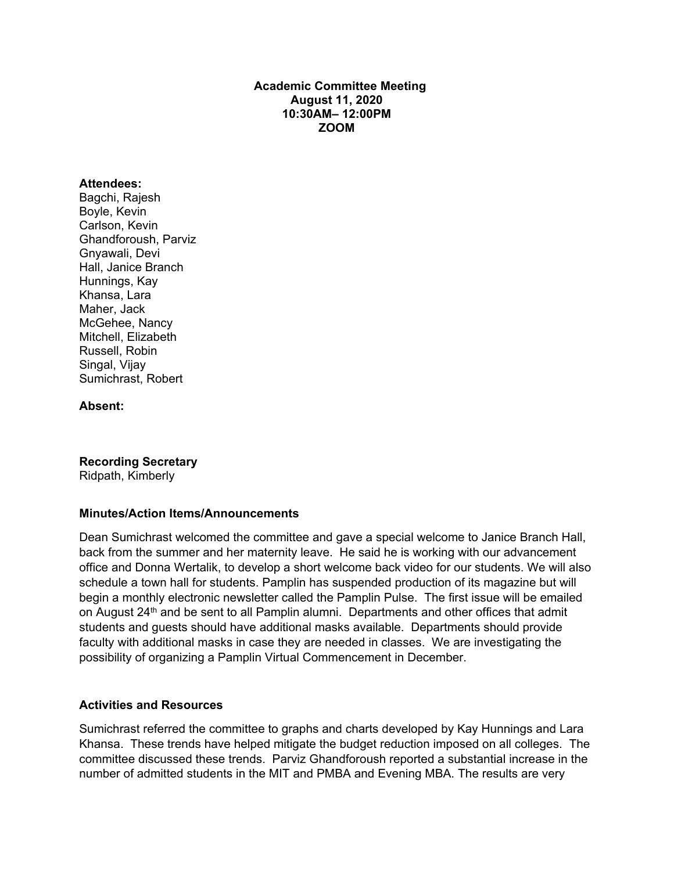## **Academic Committee Meeting August 11, 2020 10:30AM– 12:00PM ZOOM**

#### **Attendees:**

Bagchi, Rajesh Boyle, Kevin Carlson, Kevin Ghandforoush, Parviz Gnyawali, Devi Hall, Janice Branch Hunnings, Kay Khansa, Lara Maher, Jack McGehee, Nancy Mitchell, Elizabeth Russell, Robin Singal, Vijay Sumichrast, Robert

**Absent:**

**Recording Secretary**

Ridpath, Kimberly

### **Minutes/Action Items/Announcements**

Dean Sumichrast welcomed the committee and gave a special welcome to Janice Branch Hall, back from the summer and her maternity leave. He said he is working with our advancement office and Donna Wertalik, to develop a short welcome back video for our students. We will also schedule a town hall for students. Pamplin has suspended production of its magazine but will begin a monthly electronic newsletter called the Pamplin Pulse. The first issue will be emailed on August 24<sup>th</sup> and be sent to all Pamplin alumni. Departments and other offices that admit students and guests should have additional masks available. Departments should provide faculty with additional masks in case they are needed in classes. We are investigating the possibility of organizing a Pamplin Virtual Commencement in December.

### **Activities and Resources**

Sumichrast referred the committee to graphs and charts developed by Kay Hunnings and Lara Khansa. These trends have helped mitigate the budget reduction imposed on all colleges. The committee discussed these trends. Parviz Ghandforoush reported a substantial increase in the number of admitted students in the MIT and PMBA and Evening MBA. The results are very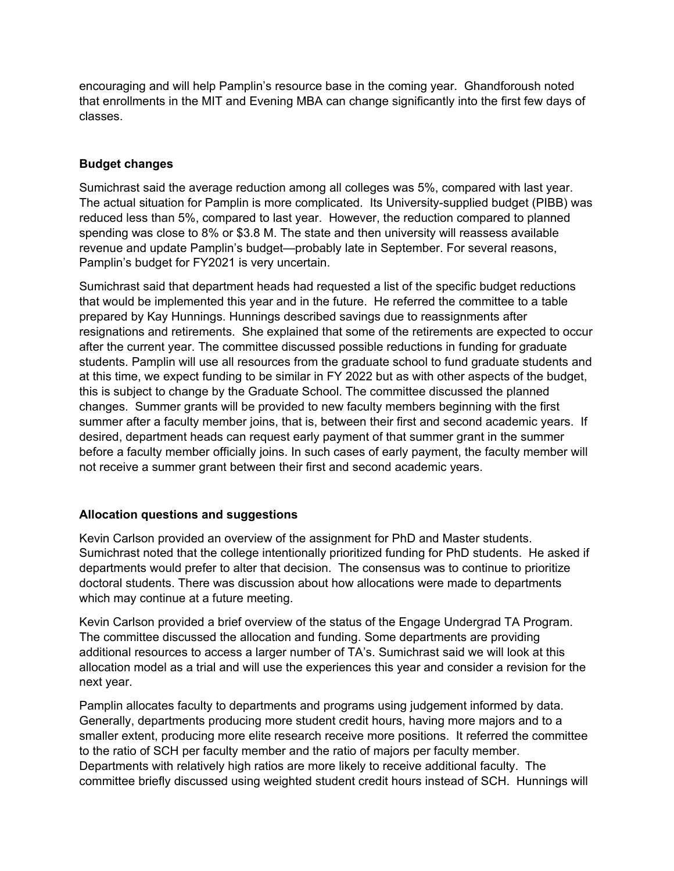encouraging and will help Pamplin's resource base in the coming year. Ghandforoush noted that enrollments in the MIT and Evening MBA can change significantly into the first few days of classes.

# **Budget changes**

Sumichrast said the average reduction among all colleges was 5%, compared with last year. The actual situation for Pamplin is more complicated. Its University-supplied budget (PIBB) was reduced less than 5%, compared to last year. However, the reduction compared to planned spending was close to 8% or \$3.8 M. The state and then university will reassess available revenue and update Pamplin's budget—probably late in September. For several reasons, Pamplin's budget for FY2021 is very uncertain.

Sumichrast said that department heads had requested a list of the specific budget reductions that would be implemented this year and in the future. He referred the committee to a table prepared by Kay Hunnings. Hunnings described savings due to reassignments after resignations and retirements. She explained that some of the retirements are expected to occur after the current year. The committee discussed possible reductions in funding for graduate students. Pamplin will use all resources from the graduate school to fund graduate students and at this time, we expect funding to be similar in FY 2022 but as with other aspects of the budget, this is subject to change by the Graduate School. The committee discussed the planned changes. Summer grants will be provided to new faculty members beginning with the first summer after a faculty member joins, that is, between their first and second academic years. If desired, department heads can request early payment of that summer grant in the summer before a faculty member officially joins. In such cases of early payment, the faculty member will not receive a summer grant between their first and second academic years.

# **Allocation questions and suggestions**

Kevin Carlson provided an overview of the assignment for PhD and Master students. Sumichrast noted that the college intentionally prioritized funding for PhD students. He asked if departments would prefer to alter that decision. The consensus was to continue to prioritize doctoral students. There was discussion about how allocations were made to departments which may continue at a future meeting.

Kevin Carlson provided a brief overview of the status of the Engage Undergrad TA Program. The committee discussed the allocation and funding. Some departments are providing additional resources to access a larger number of TA's. Sumichrast said we will look at this allocation model as a trial and will use the experiences this year and consider a revision for the next year.

Pamplin allocates faculty to departments and programs using judgement informed by data. Generally, departments producing more student credit hours, having more majors and to a smaller extent, producing more elite research receive more positions. It referred the committee to the ratio of SCH per faculty member and the ratio of majors per faculty member. Departments with relatively high ratios are more likely to receive additional faculty. The committee briefly discussed using weighted student credit hours instead of SCH. Hunnings will